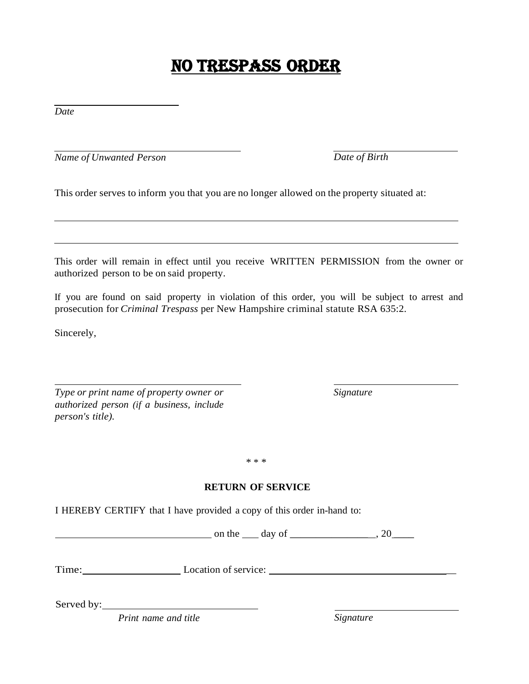## NO TRESPASS ORDER

*Date*

*Name of Unwanted Person Date of Birth*

This order serves to inform you that you are no longer allowed on the property situated at:

This order will remain in effect until you receive WRITTEN PERMISSION from the owner or authorized person to be on said property.

If you are found on said property in violation of this order, you will be subject to arrest and prosecution for *Criminal Trespass* per New Hampshire criminal statute RSA 635:2.

Sincerely,

*Type or print name of property owner or authorized person (if a business, include person's title).*

*Signature*

\* \* \*

#### **RETURN OF SERVICE**

I HEREBY CERTIFY that I have provided a copy of this order in-hand to:

on the  $\_\_$  day of  $\_\_\_\_\_\_\_\_\_\_$ , 20  $\_\_\_\_\_\_\_$ 

Time: Location of service: \_

Served by:

*Print name and title Signature*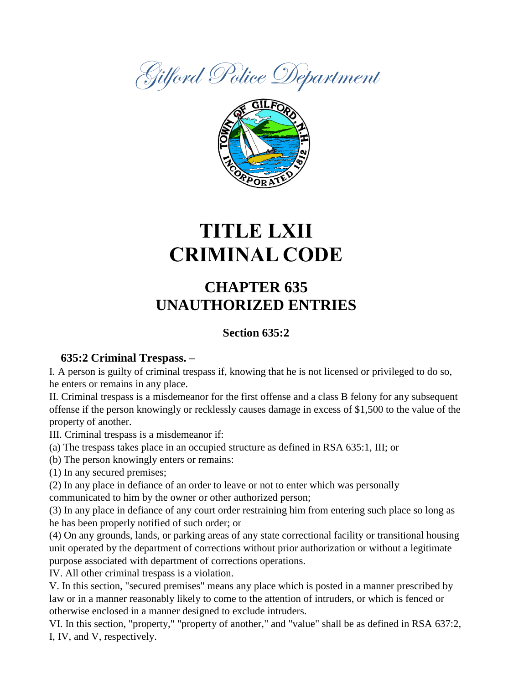



# **TITLE LXII CRIMINAL CODE**

### **CHAPTER 635 UNAUTHORIZED ENTRIES**

### **Section 635:2**

### **635:2 Criminal Trespass. –**

I. A person is guilty of criminal trespass if, knowing that he is not licensed or privileged to do so, he enters or remains in any place.

II. Criminal trespass is a misdemeanor for the first offense and a class B felony for any subsequent offense if the person knowingly or recklessly causes damage in excess of \$1,500 to the value of the property of another.

III. Criminal trespass is a misdemeanor if:

(a) The trespass takes place in an occupied structure as defined in RSA 635:1, III; or

(b) The person knowingly enters or remains:

(1) In any secured premises;

(2) In any place in defiance of an order to leave or not to enter which was personally

communicated to him by the owner or other authorized person;

(3) In any place in defiance of any court order restraining him from entering such place so long as he has been properly notified of such order; or

(4) On any grounds, lands, or parking areas of any state correctional facility or transitional housing unit operated by the department of corrections without prior authorization or without a legitimate purpose associated with department of corrections operations.

IV. All other criminal trespass is a violation.

V. In this section, "secured premises" means any place which is posted in a manner prescribed by law or in a manner reasonably likely to come to the attention of intruders, or which is fenced or otherwise enclosed in a manner designed to exclude intruders.

VI. In this section, "property," "property of another," and "value" shall be as defined in RSA 637:2, I, IV, and V, respectively.